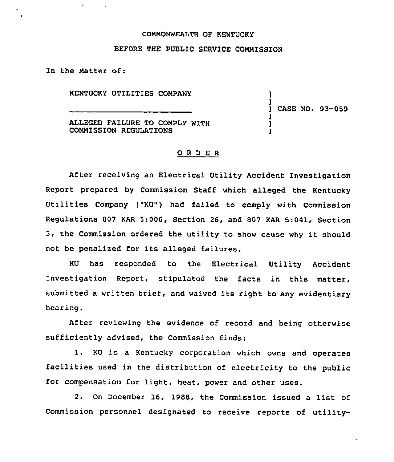## COMMONWEALTH OF KENTUCKY

## BEFORE THE PUBLIC SERVICE COMMISSION

In the Matter of:

KENTUCKY UTILITIES COMPANY

) CASE NO. 93-059

) )

> ) ) )

ALLEGED FAILURE TO COMPLY WITH COMMISSION REGULATIONS

## ORDER

After receiving an Electrical Utility Accident Investigation Report prepared by Commission Staff which alleged the Kentucky Utilities Company ("KU") had failed to comply with Commission Regulations 807 KAR 5:006, Section 26, and 807 KAR 5:041, Section 3, the Commission ordered the utility to show cause why it should not be penalized for its alleged failures.

KU has responded to the Electrical Utility Accident Investigation Report, stipulated the facts in this matter, submitted a written brief, and waived its right to any evidentiary hearing.

After reviewing the evidence of record and being otherwise sufficiently advised, the Commission finds:

1. KU is <sup>a</sup> Kentucky corporation which owns and operates facilities used in the distribution of electricity to the public for compensation for light, heat, power and other uses.

2. On December 16, 1988, the Commission issued <sup>a</sup> list of Commission personnel designated to receive reports of utility-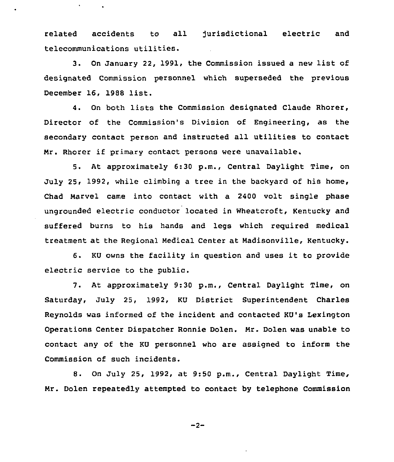related accidents to all jurisdictional electric and telecommunications utilities.

3. On January 22, 1991, the Commission issued a new list of designated Commission personnel which superseded the previous December 16, <sup>1988</sup> list.

4. On both lists the Commission designated Claude Rhorer, Director of the Commission's Division of Engineering, as the secondary contact person and instructed all utilities to contact Mr. Rhorer if primary contact persons were unavailable.

5. At approximately 6:30 p.m., Central Daylight Time, on July 25, 1992, while climbing a tree in the backyard of his home, Chad Marvel came into contact with a 2400 volt single phase ungrounded electric conductor located in Wheatcroft, Kentucky and suffered burns to his hands and legs which required medical treatment at the Regional Medical Center at Madisonville, Kentucky.

6. KU owns the facility in question and uses it to provide electric service to the public.

7. At approximately 9:30 p.m., Central Daylight Time, on Saturday, July 25, 1992, KU District Superintendent Charles Reynolds was informed of the incident and contacted KU's Lexington Operations Center Dispatcher Ronnie Dolen. Mr. Dolen was unable to contact any of the KU personnel who are assigned to inform the Commission of such incidents.

8. On July 25, 1992, at 9:50 p.m., Central Daylight Time, Mr. Dolen repeatedly attempted to contact by telephone Commission

 $-2-$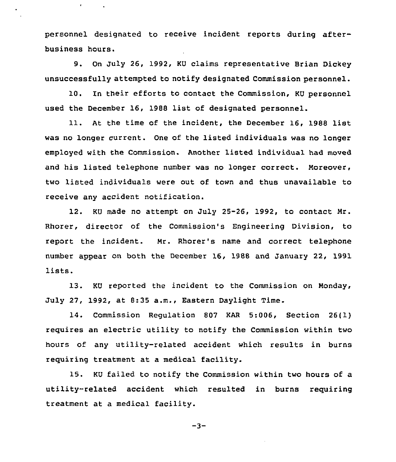personnel designated to receive incident reports during afterbusiness hours.

 $\bullet$ 

9. On July 26, 1992, KU claims representative Brian Dickey unsuccessfully attempted to notify designated Commission personnel.

10. In their efforts to contact the Commission, KU personnel used the December 16, 1988 list of designated personnel.

11. At the time of the incident, the December 16, 1988 list was no longer current. One of the listed individuals was no longer employed with the Commission. Another listed individual had moved and his listed telephone number was no longer correct. Moreover, two listed individuals were out of town and thus unavailable to receive any accident notification.

12. KU made no attempt on July 25-26, 1992, to contact Mr. Rhorer, director of the Commission's Engineering Division, to report the incident. Mr. Rhorer's name and correct telephone number appear on both the December 16, 1988 and January 22, 1991 lists.

13. KU reported the incident to the Commission on Monday, July 27, 1992, at 8:35 a.m., Eastern Daylight Time.

14. Commission Regulation 807 KAR 5:006, Section 26(1) requires an electric utility to notify the Commission within two hours of any utility-related accident which results in burns requiring treatment at <sup>a</sup> medical facility.

15. KU failed to notify the Commission within two hours of a utility-related accident which resulted in burns requiring treatment at a medical facility.

 $-3-$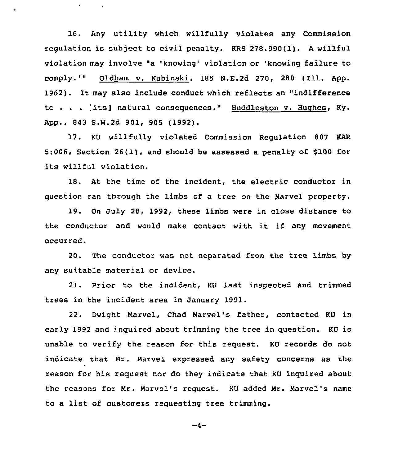16. Any utility which willfully violates any Commission regulation is subject to civil penalty. KRS 278.990(1). <sup>A</sup> willful violation may involve "a 'knowing' violation or 'knowing failure to comply.'" Oldham v. Kubinski, <sup>185</sup> M.E.2d 270, <sup>280</sup> (Ill. App. 1962). It may also include conduct which reflects an "indifference to . . . [its] natural consequences." Huddleston v. Hughes, Ky. App., 843 S.W.2d 901, 905 (1992).

 $\bullet$  .

17. KU willfully violated Commission Regulation 807 KAR 5;006, Section 26(1), and should be assessed a penalty of 8100 for its willful violation.

18. At the time of the incident, the electric conductor in question ran through the limbs of a tree on the Marvel property.

19. On July 28, 1992, these limbs were in close distance to the conductor and would make contact with it if any movement occurred.

20. The conductor was not separated from the tree limbs by any suitable material or device.

21. Prior to the incident, KU last inspected and trimmed trees in the incident area in January 1991.

22. Dwight Marvel, Chad Marvel's father, contacted KU in early 1992 and inquired about trimming the tree in question. KU is unable to verify the reason for this request. KU records do not indicate that Nr. Marvel expressed any safety concerns as the reason for his request nor do they indicate that KU inquired about the reasons for Nr. Marvel's request. KU added Nr. Marvel's name to <sup>a</sup> list of customers requesting tree trimming.

$$
-4-
$$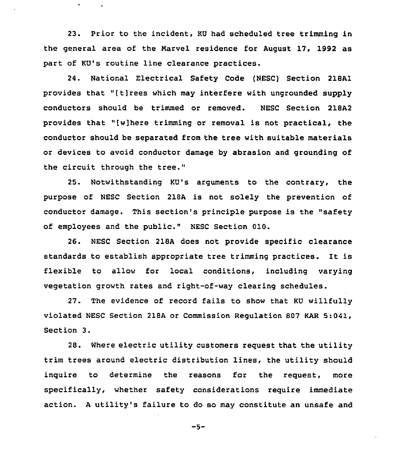23. Prior to the incident, KU had scheduled tree trimming in the general area of the Narvel residence for August 17, 1992 as part of KU's routine line clearance practices.

 $\bullet$ 

24. National Electrical Safety Code (NESC) Section 218A1 provides that "[t]rees which may interfere with ungrounded supply conductors should be trimmed or removed. NESC Section 218A2 provides that "[w]here trimming or removal is not practical, the conductor should be separated from the tree with suitable materials or devices to avoid conductor damage by abrasion and grounding of the circuit through the tree."

25. Notwithstanding KU's arguments to the contrary, the purpose of NESC Section 218A is not solely the prevention of conductor damage. This section's principle purpose is the "safety of employees and the public." MESC Section 010.

26. NESC Section 218A does not provide specific clearance standards to establish appropriate tree trimming practices. It is flexible to allow for local conditions, including varying vegetation growth rates and right-of-way clearing schedules.

27. The evidence of record fails to show that KU willfully violated NESC Section 218A or Commission Regulation 807 KAR 5:041, Section 3.

28. Where electric utility customers request that the utility trim trees around electric distribution lines, the utility should inquire to determine the reasons for the request, more specifically, whether safety considerations require immediate action. <sup>A</sup> utility's failure to do so may constitute an unsafe and

$$
-5-
$$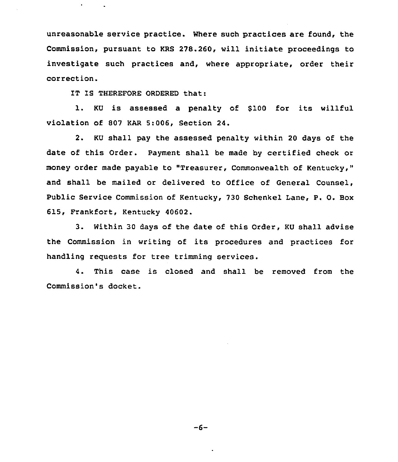unreasonable service practice. Where such practices are found, the Commission, pursuant to KRS 278.260, will initiate proceedings to investigate such practices and, where appropriate, order their correction.

IT IS THEREFORE ORDERED that:

 $\bullet$  .

1. KU is assessed <sup>a</sup> penalty of <sup>8100</sup> for its willful violation of 807 KAR 5:006, Section 24.

2. KU shall pay the assessed penalty within 20 days of the date of this Order. Payment shall be made by certified check or money order made payable to "Treasurer, Commonwealth of Kentucky," and shall be mailed or delivered to Office of General Counsel, Public Service Commission of Kentucky, 730 Schenkel Lane, P. O. Box 615, Frankfort, Kentucky 40602.

3. Within 30 days of the date of this Order, KU shall advise the Commission in writing of its procedures and practices for handling requests for tree trimming services.

4. This case is closed and shall be removed from the Commission's docket.

 $-6-$